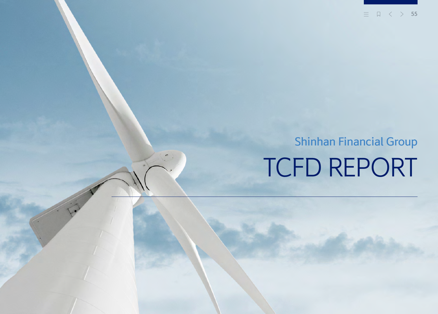**55**三

# TCFD REPORT Shinhan Financial Group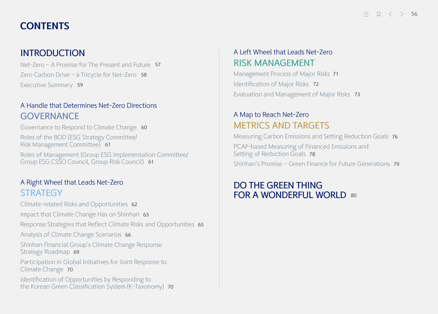## **CONTENTS**

## INTRODUCTION

[Net-Zero – A Promise for The Present and Future](#page-2-0) 57 Zero Carbon Drive - a Tricycle for Net-Zero 58 Executive Summary 59

## [A Handle that Determines Net-Zero Directions](#page-5-0) **GOVERNANCE**

[Governance to Respond to Climate Change](#page-5-0) 60 [Roles of the BOD \(ESG Strategy Committee](#page-6-0)/ Risk Management Committee)<sup>61</sup>

[Roles of Management \(Group ESG Implementation Committee/](#page-6-0) Group ESG CSSO Council, Group Risk Council) 61

## [A Right Wheel that Leads Net-Zero](#page-7-0) **STRATEGY**

[Climate-related Risks and Opportunities](#page-7-0) 62

[Impact that Climate Change Has on Shinhan](#page-8-0) 63

[Response Strategies that Reflect Climate Risks and Opportunities](#page-10-0) 65

[Analysis of Climate Change Scenarios](#page-11-0) 66

[Shinhan Financial Group's Climate Change Response](#page-14-0)  Strategy Roadmap 69

[Participation in Global Initiatives for Joint Response to](#page-15-0)  Climate Change 70

Identification of Opportunities by Responding to [the Korean Green Classification System \(K-Taxonomy\)](#page-15-0) 70

## [A Left Wheel that Leads Net-Zero](#page-16-0) RISK MANAGEMENT

[Management Process of Major Risks](#page-16-0) 71 [Identification of Major Risks](#page-17-0) 72 [Evaluation and Management of Major Risks](#page-18-0) 73

## A Map to Reach Net-Zero [METRICS AND TARGETS](#page-21-0)

[Measuring Carbon Emissions and Setting Reduction Goals](#page-21-0) 76 [PCAF-based Measuring of Financed Emissions and](#page-23-0)  Setting of Reduction Goals 78 [Shinhan's Promise – Green Finance for Future Generations](#page-24-0) 79

## [DO THE GREEN THING](#page-25-0)  FOR A WONDERFUL WORLD 80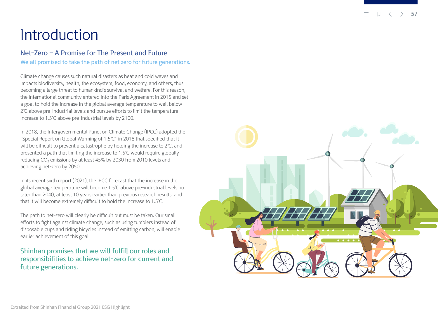## <span id="page-2-0"></span>Introduction

### Net-Zero – A Promise for The Present and Future

We all promised to take the path of net zero for future generations.

Climate change causes such natural disasters as heat and cold waves and impacts biodiversity, health, the ecosystem, food, economy, and others, thus becoming a large threat to humankind's survival and welfare. For this reason, the international community entered into the Paris Agreement in 2015 and set a goal to hold the increase in the global average temperature to well below 2℃ above pre-industrial levels and pursue efforts to limit the temperature increase to 1.5℃ above pre-industrial levels by 2100.

In 2018, the Intergovernmental Panel on Climate Change (IPCC) adopted the "Special Report on Global Warming of 1.5℃" in 2018 that specified that it will be difficult to prevent a catastrophe by holding the increase to 2℃, and presented a path that limiting the increase to 1.5℃ would require globally reducing CO 2 emissions by at least 45% by 2030 from 2010 levels and achieving net-zero by 2050.

In its recent sixth report (2021), the IPCC forecast that the increase in the global average temperature will become 1.5℃ above pre-industrial levels no later than 2040, at least 10 years earlier than previous research results, and that it will become extremely difficult to hold the increase to 1.5℃.

The path to net-zero will clearly be difficult but must be taken. Our small efforts to fight against climate change, such as using tumblers instead of disposable cups and riding bicycles instead of emitting carbon, will enable earlier achievement of this goal.

## Shinhan promises that we will fulfill our roles and responsibilities to achieve net-zero for current and future generations.

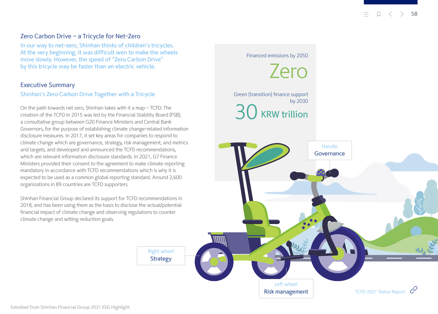[TCFD 2021 Status Report](https://assets.bbhub.io/company/sites/60/2021/07/2021-TCFD-Status_Report.pdf)  $\mathcal{C}$ 

#### <span id="page-3-0"></span>Zero Carbon Drive – a Tricycle for Net-Zero

In our way to net-zero, Shinhan thinks of children's tricycles. At the very beginning, it was difficult even to make the wheels move slowly. However, the speed of "Zero Carbon Drive" by this tricycle may be faster than an electric vehicle.

#### Executive Summary

#### Shinhan's Zero Carbon Drive Together with a Tricycle

On the path towards net zero, Shinhan takes with it a map – TCFD. The creation of the TCFD in 2015 was led by the Financial Stability Board (FSB), a consultative group between G20 Finance Ministers and Central Bank Governors, for the purpose of establishing climate change-related information disclosure measures. In 2017, it set key areas for companies to respond to climate change which are governance, strategy, risk management, and metrics and targets, and developed and announced the TCFD recommendations, which are relevant information disclosure standards. In 2021, G7 Finance Ministers provided their consent to the agreement to make climate reporting mandatory in accordance with TCFD recommendations which is why it is expected to be used as a common global reporting standard. Around 2,600 organizations in 89 countries are TCFD supporters.

Shinhan Financial Group declared its support for TCFD recommendations in 2018, and has been using them as the basis to disclose the actual/potential financial impact of climate change and observing regulations to counter climate change and setting reduction goals.



Risk management

Extraited from Shinhan Financial Group 2021 ESG Highlight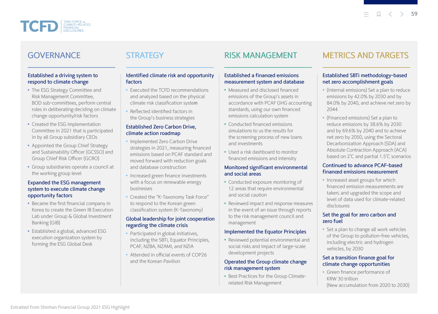

## GOVERNANCE

## **STRATEGY**

#### Established a driving system to respond to climate change

- The ESG Strategy Committee and Risk Management Committee, BOD sub-committees, perform central roles in deliberating•deciding on climate change opportunity/risk factors
- Created the ESG Implementation Committee in 2021 that is participated in by all Group subsidiary CEOs
- Appointed the Group Chief Strategy and Sustainability Officer (GCSSO) and Group Chief Risk Officer (GCRO)
- Group subsidiaries operate a council at the working group level

#### Expanded the ESG management system to execute climate change opportunity factors

- Became the first financial company in Korea to create the Green IB Execution Lab under Group & Global Investment Banking (GIB)
- Established a global, advanced ESG execution organization system by forming the ESG Global Desk

#### Identified climate risk and opportunity factors

- Executed the TCFD recommendations and analyzed based on the physical climate risk classification system
- Reflected identified factors in the Group's business strategies

#### Established Zero Carbon Drive, climate action roadmap

- Implemented Zero Carbon Drive strategies in 2021, measuring financed emissions based on PCAF standard and moved forward with reduction goals and database construction
- Increased green finance investments with a focus on renewable energy businesses
- Created the "K-Taxonomy Task Force" to respond to the Korean green classification system (K-Taxonomy)

#### Global leadership for joint cooperation regarding the climate crisis

- Participated in global initiatives, including the SBTi, Equator Principles, PCAF, NZBA, NZAMI, and NZIA
- Attended in official events of COP26 and the Korean Pavilion

## RISK MANAGEMENT

#### Established a financed emissions measurement system and database

- Measured and disclosed financed emissions of the Group's assets in accordance with PCAF GHG accounting standards, using our own financed emissions calculation system
- Conducted financed emissions simulations to us the results for the screening process of new loans and investments
- Used a risk dashboard to monitor financed emissions and intensity

#### Monitored significant environmental and social areas

- Conducted exposure monitoring of 12 areas that require environmental and social caution
- Reviewed impact and response measures in the event of an issue through reports to the risk management council and management

#### Implemented the Equator Principles

Reviewed potential environmental and social risks and impact of large-scale development projects

#### Operated the Group climate change risk management system

• Best Practices for the Group Climaterelated Risk Management

## METRICS AND TARGETS

#### Established SBTi methodology-based net zero accomplishment goals

- (Internal emissions) Set a plan to reduce emissions by 42.0% by 2030 and by 84.0% by 2040, and achieve net zero by 2044
- (Financed emissions) Set a plan to reduce emissions by 38.6% by 2030 and by 69.6% by 2040 and to achieve net zero by 2050, using the Sectoral Decarbonization Approach (SDA) and Absolute Contraction Approach (ACA) based on 2℃ and partial 1.5℃ scenarios

#### Continued to advance PCAF-based financed emissions measurement

• Increased asset groups for which financed emission measurements are taken; and upgraded the scope and level of data used for climate-related disclosures

#### Set the goal for zero carbon and zero fuel

• Set a plan to change all work vehicles of the Group to pollution-free vehicles, including electric and hydrogen vehicles, by 2030

#### Set a transition finance goal for climate change opportunities

Green finance performance of KRW 30 trillion (New accumulation from 2020 to 2030)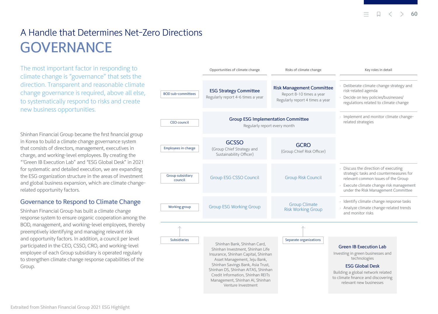$\Box \quad \ \ < \quad \ \ > \quad$ **60**

## <span id="page-5-0"></span>A Handle that Determines Net-Zero Directions **GOVERNANCE**

The most important factor in responding to climate change is "governance" that sets the direction. Transparent and reasonable climate change governance is required, above all else, to systematically respond to risks and create new business opportunities.

Shinhan Financial Group became the first financial group in Korea to build a climate change governance system that consists of directors, management, executives in charge, and working-level employees. By creating the "'Green IB Execution Lab" and "ESG Global Desk" in 2021 for systematic and detailed execution, we are expanding the ESG organization structure in the areas of investment and global business expansion, which are climate changerelated opportunity factors.

#### Governance to Respond to Climate Change

Shinhan Financial Group has built a climate change response system to ensure organic cooperation among the BOD, management, and working-level employees, thereby preemptively identifying and managing relevant risk and opportunity factors. In addition, a council per level participated in the CEO, CSSO, CRO, and working-level employee of each Group subsidiary is operated regularly to strengthen climate change response capabilities of the Group.

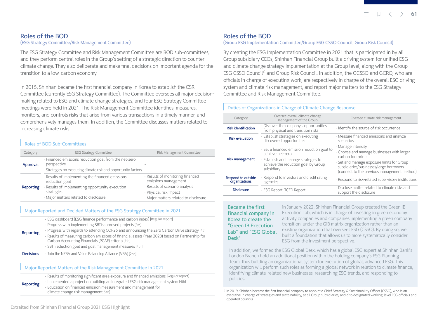#### **b**  $\sqrt{2}$   $\sqrt{2}$   $\sqrt{2}$  **61**

#### <span id="page-6-0"></span>Roles of the BOD (ESG Strategy Committee/Risk Management Committee)

The ESG Strategy Committee and Risk Management Committee are BOD sub-committees, and they perform central roles in the Group's setting of a strategic direction to counter climate change. They also deliberate and make final decisions on important agenda for the transition to a low-carbon economy.

In 2015, Shinhan became the first financial company in Korea to establish the CSR Committee (currently ESG Strategy Committee). The Committee oversees all major decisionmaking related to ESG and climate change strategies, and four ESG Strategy Committee meetings were held in 2021. The Risk Management Committee identifies, measures, monitors, and controls risks that arise from various transactions in a timely manner, and comprehensively manages them. In addition, the Committee discusses matters related to increasing climate risks.

#### Roles of BOD Sub-Committees

| Category  | <b>ESG Strategy Committee</b>                                                                                                                                              | Risk Management Committee                                                                                                                                     |
|-----------|----------------------------------------------------------------------------------------------------------------------------------------------------------------------------|---------------------------------------------------------------------------------------------------------------------------------------------------------------|
| Approval  | · Financed emissions reduction goal from the net-zero<br>perspective<br>· Strategies on executing climate risk and opportunity factors                                     |                                                                                                                                                               |
| Reporting | Results of implementing the financed emissions<br>reduction goal<br>· Results of implementing opportunity execution<br>strategies<br>· Major matters related to disclosure | · Results of monitoring financed<br>emissions management<br>· Results of scenario analysis<br>· Physical risk impact<br>· Major matters related to disclosure |

#### Major Reported and Decided Matters of the ESG Strategy Committee in 2021

| Reporting | · ESG dashboard (ESG finance performance and carbon index) [Regular report]                                                                            |
|-----------|--------------------------------------------------------------------------------------------------------------------------------------------------------|
|           | · Progress with implementing SBTi-approved projects [3rd]                                                                                              |
|           | · Progress with regards to attending COP26 and announcing the Zero Carbon Drive strategy [4th]                                                         |
|           | · Results of measuring carbon emissions of financial assets (Year 2020) based on Partnership for<br>Carbon Accounting Financials (PCAF) criteria [4th] |
|           | · SBTi reduction goal and goal management measures [4th]                                                                                               |

**Decisions** • Join the NZBA and Value Balancing Alliance (VBA) [2nd]

#### Major Reported Matters of the Risk Management Committee in 2021

Results of monitoring significant area exposure and financed emissions [Regular report] Implemented a project on building an integrated ESG risk management system [4th] Education on financed emission measurement and management for climate change risk management [9th]

#### Roles of the BOD

#### (Group ESG Implementation Committee/Group ESG CSSO Council, Group Risk Council)

By creating the ESG Implementation Committee in 2021 that is participated in by all Group subsidiary CEOs, Shinhan Financial Group built a driving system for unified ESG and climate change strategy implementation at the Group level, along with the Group ESG CSSO Council<sup>11</sup> and Group Risk Council. In addition, the GCSSO and GCRO, who are officials in charge of executing work, are respectively in charge of the overall ESG driving system and climate risk management, and report major matters to the ESG Strategy Committee and Risk Management Committee.

#### Duties of Organizations in Charge of Climate Change Response

| Category                                       | Oversee overall climate change<br>management of the Group                                                                                                  | Oversee climate risk management                                                                                                                                                                                               |  |
|------------------------------------------------|------------------------------------------------------------------------------------------------------------------------------------------------------------|-------------------------------------------------------------------------------------------------------------------------------------------------------------------------------------------------------------------------------|--|
| <b>Risk identification</b>                     | . Discover the company's opportunities<br>from physical and transition risks                                                                               | · Identify the source of risk occurrence                                                                                                                                                                                      |  |
| <b>Risk evaluation</b>                         | · Establish strategies on executing<br>discovered opportunities                                                                                            | · Measure financed emissions and analyze<br>scenarios                                                                                                                                                                         |  |
| <b>Risk management</b>                         | · Set a financed emission reduction goal to<br>achieve net-zero<br>Establish and manage strategies to<br>achieve the reduction goal by Group<br>subsidiary | · Manage intensity<br>. Choose and manage businesses with larger<br>carbon footprints<br>· Set and manage exposure limits for Group<br>subsidiaries/businesses/large borrowers<br>(connect to the previous management method) |  |
| Respond to outside<br>organizations            | Respond to investors and credit rating<br>agencies                                                                                                         | · Respond to risk-related supervisory institutions                                                                                                                                                                            |  |
| · ESG Report, TCFD Report<br><b>Disclosure</b> |                                                                                                                                                            | · Disclose matter related to climate risks and<br>support the disclosure                                                                                                                                                      |  |

Became the first financial company in Korea to create the "Green IB Execution Lab" and "ESG Global Desk"

In January 2022, Shinhan Financial Group created the Green IB Execution Lab, which is in charge of investing in green economy activity companies and companies implementing a green company transition, under the GIB matrix organization rather than an existing organization that oversees ESG (CSSO). By doing so, we built a foundation that allows us to more systematically consider ESG from the investment perspective.

In addition, we formed the ESG Global Desk, which has a global ESG expert at Shinhan Bank's London Branch hold an additional position within the holding company's ESG Planning Team, thus building an organizational system for execution of global, advanced ESG. This organization will perform such roles as forming a global network in relation to climate finance, identifying climate-related new businesses, researching ESG trends, and responding to policies.

Reporting

<sup>&</sup>lt;sup>1)</sup> In 2019, Shinhan became the first financial company to appoint a Chief Strategy & Sustainability Officer (CSSO), who is an executive in charge of strategies and sustainability, at all Group subsidiaries, and also designated working-level ESG officials and operated councils.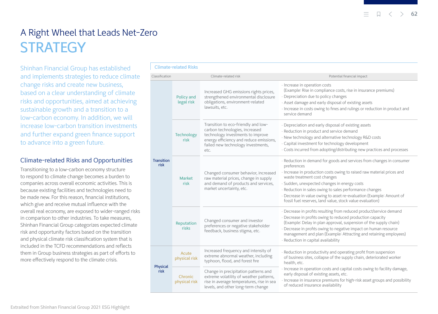$\Box$  $\langle \quad \rangle$ **62**

## <span id="page-7-0"></span>A Right Wheel that Leads Net-Zero **STRATEGY**

Shinhan Financial Group has established and implements strategies to reduce climate change risks and create new business, based on a clear understanding of climate risks and opportunities, aimed at achieving sustainable growth and a transition to a low-carbon economy. In addition, we will increase low-carbon transition investments and further expand green finance support to advance into a green future.

#### Climate-related Risks and Opportunities

Transitioning to a low-carbon economy structure to respond to climate change becomes a burden to companies across overall economic activities. This is because existing facilities and technologies need to be made new. For this reason, financial institutions, which give and receive mutual influence with the overall real economy, are exposed to wider-ranged risks in comparison to other industries. To take measures, Shinhan Financial Group categorizes expected climate risk and opportunity factors based on the transition and physical climate risk classification system that is included in the TCFD recommendations and reflects them in Group business strategies as part of efforts to more effectively respond to the climate crisis.

|  |                                               | Policy and<br>legal risk  | Increased GHG emissions rights prices,<br>strengthened environmental disclosure<br>obligations, environment-related<br>lawsuits, etc.                                                               | (Example: Rise in compliance costs, rise in insurance premiums)<br>· Depreciation due to policy changes<br>· Asset damage and early disposal of existing assets<br>· Increase in costs owing to fines and rulings or reduction in product and<br>service demand                                                                                                                                                                                |  |  |  |
|--|-----------------------------------------------|---------------------------|-----------------------------------------------------------------------------------------------------------------------------------------------------------------------------------------------------|------------------------------------------------------------------------------------------------------------------------------------------------------------------------------------------------------------------------------------------------------------------------------------------------------------------------------------------------------------------------------------------------------------------------------------------------|--|--|--|
|  | <b>Transition</b><br>risk<br>Physical<br>risk | <b>Technology</b><br>risk | Transition to eco-friendly and low-<br>carbon technologies, increased<br>technology investments to improve<br>energy efficiency and reduce emissions,<br>failed new technology investments,<br>etc. | · Depreciation and early disposal of existing assets<br>· Reduction in product and service demand<br>· New technology and alternative technology R&D costs<br>· Capital investment for technology development<br>· Costs incurred from adopting/distributing new practices and processes                                                                                                                                                       |  |  |  |
|  |                                               | <b>Market</b><br>risk     | Changed consumer behavior, increased<br>raw material prices, change in supply<br>and demand of products and services,<br>market uncertainty, etc.                                                   | · Reduction in demand for goods and services from changes in consumer<br>preferences<br>· Increase in production costs owing to raised raw material prices and<br>waste treatment cost changes<br>· Sudden, unexpected changes in energy costs<br>· Reduction in sales owing to sales performance changes<br>· Decrease in value owing to asset re-evaluation (Example: Amount of<br>fossil fuel reserves, land value, stock value evaluation) |  |  |  |
|  |                                               | Reputation<br>risks       | Changed consumer and investor<br>preferences or negative stakeholder<br>feedback, business stigma, etc.                                                                                             | · Decrease in profits resulting from reduced product/service demand<br>· Decrease in profits owing to reduced production capacity<br>(Example: Delay in plan approval, suspension of the supply chain)<br>· Decrease in profits owing to negative impact on human resource<br>management and plan (Example: Attracting and retaining employees)<br>· Reduction in capital availability                                                         |  |  |  |
|  |                                               | Acute<br>physical risk    | Increased frequency and intensity of<br>extreme abnormal weather, including<br>typhoon, flood, and forest fire                                                                                      | · Reduction in productivity and operating profit from suspension<br>of business sites, collapse of the supply chain, deteriorated worker<br>health, etc.                                                                                                                                                                                                                                                                                       |  |  |  |
|  |                                               | Chronic<br>physical risk  | Change in precipitation patterns and<br>extreme volatility of weather patterns,<br>rica in average temperatures rice in sea                                                                         | · Increase in operation costs and capital costs owing to facility damage,<br>early disposal of existing assets, etc.<br>· Increase in insurance premiums for high-risk asset groups and possibility                                                                                                                                                                                                                                            |  |  |  |

of reduced insurance availability

・ Increase in operation costs

(Example: Rise in compliance costs, rise in insurance premiums)

Classification Climate-related risk Potential financial impact

physical risk rise in average temperatures, rise in sea

levels, and other long-term change

#### Climate-related Risks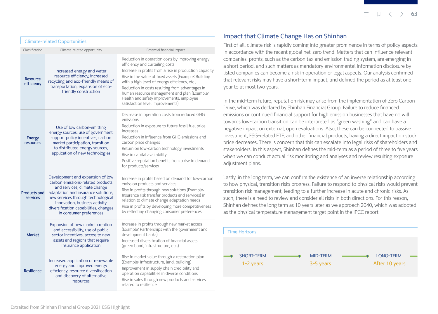<span id="page-8-0"></span>

|  | <b>Climate-related Opportunities</b> |
|--|--------------------------------------|
|  |                                      |

| Classification                         | Climate-related opportunity                                                                                                                                                                                                                                                             | Potential financial impact                                                                                                                                                                                                                                                                                                                                                                                                                        |
|----------------------------------------|-----------------------------------------------------------------------------------------------------------------------------------------------------------------------------------------------------------------------------------------------------------------------------------------|---------------------------------------------------------------------------------------------------------------------------------------------------------------------------------------------------------------------------------------------------------------------------------------------------------------------------------------------------------------------------------------------------------------------------------------------------|
| <b>Resource</b><br>efficiency          | Increased energy and water<br>resource efficiency, increased<br>recycling and eco-friendly means of<br>transportation, expansion of eco-<br>friendly construction                                                                                                                       | · Reduction in operation costs by improving energy<br>efficiency and curtailing costs<br>· Increase in profits from a rise in production capacity<br>· Rise in the value of fixed assets (Example: Building<br>with a high level of energy efficiency, etc.)<br>· Reduction in costs resulting from advantages in<br>human resource management and plan (Example:<br>Health and safety improvements, employee<br>satisfaction level improvements) |
| Energy<br>resources                    | Use of low carbon-emitting<br>energy sources, use of government<br>support policy incentives, carbon<br>market participation, transition<br>to distributed energy sources,<br>application of new technologies                                                                           | · Decrease in operation costs from reduced GHG<br>emissions<br>· Reduction in exposure to future fossil fuel price<br>increases<br>· Reduction in influence from GHG emissions and<br>carbon price changes<br>· Return on low-carbon technology investments<br>· Rise in capital availability<br>· Positive reputation benefits from a rise in demand<br>for products/services                                                                    |
| <b>Products and</b><br><b>services</b> | Development and expansion of low<br>carbon emissions-related products<br>and services, climate change<br>adaptation and insurance solutions,<br>new services through technological<br>innovation, business activity<br>diversification capabilities, changes<br>in consumer preferences | · Increase in profits based on demand for low-carbon<br>emission products and services<br>· Rise in profits through new solutions (Example:<br>Insurance risk transfer products and services) in<br>relation to climate change adaptation needs<br>· Rise in profits by developing more competitiveness<br>by reflecting changing consumer preferences                                                                                            |
| <b>Market</b>                          | Expansion of new market creation<br>and accessibility, use of public<br>sector incentives, access to new<br>assets and regions that require<br>insurance application                                                                                                                    | · Increase in profits through new market access<br>(Example: Partnerships with the government and<br>development banks)<br>· Increased diversification of financial assets<br>(green bond, infrastructure, etc.)                                                                                                                                                                                                                                  |
| <b>Resilience</b>                      | Increased application of renewable<br>energy and improved energy<br>efficiency, resource diversification<br>and discovery of alternative<br>resources                                                                                                                                   | · Rise in market value through a restoration plan<br>(Example: Infrastructure, land, building)<br>· Improvement in supply chain credibility and<br>operation capabilities in diverse conditions<br>· Rise in sales through new products and services<br>related to resilience                                                                                                                                                                     |

#### Impact that Climate Change Has on Shinhan

First of all, climate risk is rapidly coming into greater prominence in terms of policy aspects in accordance with the recent global net-zero trend. Matters that can influence relevant companies' profits, such as the carbon tax and emission trading system, are emerging in a short period, and such matters as mandatory environmental information disclosure by listed companies can become a risk in operation or legal aspects. Our analysis confirmed that relevant risks may have a short-term impact, and defined the period as at least one year to at most two years.

In the mid-term future, reputation risk may arise from the implementation of Zero Carbon Drive, which was declared by Shinhan Financial Group. Failure to reduce financed emissions or continued financial support for high emission businesses that have no will towards low-carbon transition can be interpreted as "green washing" and can have a negative impact on external, open evaluations. Also, these can be connected to passive investment, ESG-related ETF, and other financial products, having a direct impact on stock price decreases. There is concern that this can escalate into legal risks of shareholders and stakeholders. In this aspect, Shinhan defines the mid-term as a period of three to five years when we can conduct actual risk monitoring and analyses and review resulting exposure adjustment plans.

Lastly, in the long term, we can confirm the existence of an inverse relationship according to how physical, transition risks progress. Failure to respond to physical risks would prevent transition risk management, leading to a further increase in acute and chronic risks. As such, there is a need to review and consider all risks in both directions. For this reason, Shinhan defines the long term as 10 years later as we approach 2040, which was adopted as the physical temperature management target point in the IPCC report.

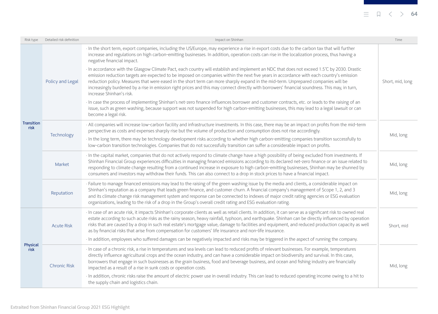## $\equiv$   $\Box$   $\langle$   $\rangle$  **64**

| Risk type                 | Detailed risk definition | Impact on Shinhan                                                                                                                                                                                                                                                                                                                                                                                                                                                                                                                                                                                         | Time             |
|---------------------------|--------------------------|-----------------------------------------------------------------------------------------------------------------------------------------------------------------------------------------------------------------------------------------------------------------------------------------------------------------------------------------------------------------------------------------------------------------------------------------------------------------------------------------------------------------------------------------------------------------------------------------------------------|------------------|
| <b>Transition</b><br>risk |                          | · In the short term, export companies, including the US/Europe, may experience a rise in export costs due to the carbon tax that will further<br>increase and regulations on high carbon-emitting businesses. In addition, operation costs can rise in the localization process, thus having a<br>negative financial impact.                                                                                                                                                                                                                                                                              |                  |
|                           | Policy and Legal         | In accordance with the Glasgow Climate Pact, each country will establish and implement an NDC that does not exceed 1.5°C by 2030. Drastic<br>emission reduction targets are expected to be imposed on companies within the next five years in accordance with each country's emission<br>reduction policy. Measures that were eased in the short term can more sharply expand in the mid-term. Unprepared companies will be<br>increasingly burdened by a rise in emission right prices and this may connect directly with borrowers' financial soundness. This may, in turn,<br>increase Shinhan's risk. | Short, mid, long |
|                           |                          | · In case the process of implementing Shinhan's net-zero finance influences borrower and customer contracts, etc. or leads to the raising of an<br>issue, such as green washing, because support was not suspended for high carbon-emitting businesses, this may lead to a legal lawsuit or can<br>become a legal risk.                                                                                                                                                                                                                                                                                   |                  |
|                           | Technology               | All companies will increase low-carbon facility and infrastructure investments. In this case, there may be an impact on profits from the mid-term<br>perspective as costs and expenses sharply rise but the volume of production and consumption does not rise accordingly.                                                                                                                                                                                                                                                                                                                               | Mid, long        |
|                           |                          | · In the long term, there may be technology development risks according to whether high carbon-emitting companies transition successfully to<br>low-carbon transition technologies. Companies that do not successfully transition can suffer a considerable impact on profits.                                                                                                                                                                                                                                                                                                                            |                  |
|                           | Market                   | In the capital market, companies that do not actively respond to climate change have a high possibility of being excluded from investments. If<br>Shinhan Financial Group experiences difficulties in managing financed emissions according to its declared net-zero finance or an issue related to<br>responding to climate change resulting from a continued increase in exposure to high carbon-emitting businesses, Shinhan may be shunned by<br>consumers and investors may withdraw their funds. This can also connect to a drop in stock prices to have a financial impact.                        | Mid, long        |
|                           | Reputation               | Failure to manage financed emissions may lead to the raising of the green washing issue by the media and clients, a considerable impact on<br>Shinhan's reputation as a company that leads green finance, and customer churn. A financial company's management of Scope 1, 2, and 3<br>and its climate change risk management system and response can be connected to indexes of major credit rating agencies or ESG evaluation<br>organizations, leading to the risk of a drop in the Group's overall credit rating and ESG evaluation rating.                                                           | Mid, long        |
| Physical<br>risk          | <b>Acute Risk</b>        | · In case of an acute risk, it impacts Shinhan's corporate clients as well as retail clients. In addition, it can serve as a significant risk to owned real<br>estate according to such acute risks as the rainy season, heavy rainfall, typhoon, and earthquake. Shinhan can be directly influenced by operation<br>risks that are caused by a drop in such real estate's mortgage value, damage to facilities and equipment, and reduced production capacity as well<br>as by financial risks that arise from compensation for customers' life insurance and non-life insurance.                        | Short, mid       |
|                           |                          | · In addition, employees who suffered damages can be negatively impacted and risks may be triggered in the aspect of running the company.                                                                                                                                                                                                                                                                                                                                                                                                                                                                 |                  |
|                           | <b>Chronic Risk</b>      | · In case of a chronic risk, a rise in temperatures and sea levels can lead to reduced profits of relevant businesses. For example, temperatures<br>directly influence agricultural crops and the ocean industry, and can have a considerable impact on biodiversity and survival. In this case,<br>borrowers that engage in such businesses as the grain business, food and beverage business, and ocean and fishing industry are financially<br>impacted as a result of a rise in sunk costs or operation costs.                                                                                        | Mid, long        |
|                           |                          | In addition, chronic risks raise the amount of electric power use in overall industry. This can lead to reduced operating income owing to a hit to<br>the supply chain and logistics chain.                                                                                                                                                                                                                                                                                                                                                                                                               |                  |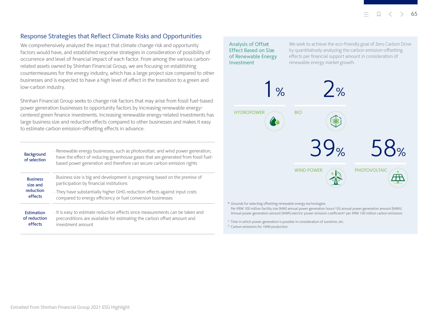### <span id="page-10-0"></span>Response Strategies that Reflect Climate Risks and Opportunities

We comprehensively analyzed the impact that climate change risk and opportunity factors would have, and established response strategies in consideration of possibility of occurrence and level of financial impact of each factor. From among the various carbonrelated assets owned by Shinhan Financial Group, we are focusing on establishing countermeasures for the energy industry, which has a large project size compared to other businesses and is expected to have a high level of effect in the transition to a green and low-carbon industry.

Shinhan Financial Group seeks to change risk factors that may arise from fossil fuel-based power generation businesses to opportunity factors by increasing renewable energycentered green finance investments. Increasing renewable energy-related investments has large business size and reduction effects compared to other businesses and makes it easy to estimate carbon emission-offsetting effects in advance.

| <b>Background</b><br>of selection | · Renewable energy businesses, such as photovoltaic and wind power generation,<br>have the effect of reducing greenhouse gases that are generated from fossil fuel-<br>based power generation and therefore can secure carbon emission rights |
|-----------------------------------|-----------------------------------------------------------------------------------------------------------------------------------------------------------------------------------------------------------------------------------------------|
| <b>Business</b>                   | · Business size is big and development is progressing based on the premise of                                                                                                                                                                 |
| size and                          | participation by financial institutions                                                                                                                                                                                                       |
| reduction                         | · They have substantially higher GHG reduction effects against input costs                                                                                                                                                                    |
| effects                           | compared to energy efficiency or fuel conversion businesses                                                                                                                                                                                   |
| Estimation                        | It is easy to estimate reduction effects since measurements can be taken and                                                                                                                                                                  |
| of reduction                      | preconditions are available for estimating the carbon offset amount and                                                                                                                                                                       |
| effects                           | investment amount                                                                                                                                                                                                                             |

Analysis of Offset Effect Based on Size of Renewable Energy Investment

We seek to achieve the eco-friendly goal of Zero Carbon Drive by quantitatively analyzing the carbon emission-offsetting effects per financial support amount in consideration of renewable energy market growth.



\* Grounds for selecting offsetting renewable energy technologies:

Per KRW 100 million facility size (MW) annual power generation hours<sup>1)</sup> (h) annual power generation amount (MWh) Annual power generation amount (MWh) electric power emission coefficient2) per KRW 100 million carbon emissions

<sup>1)</sup> Time in which power generation is possible in consideration of sunshine, etc.

<sup>2)</sup> Carbon emissions for 1MW production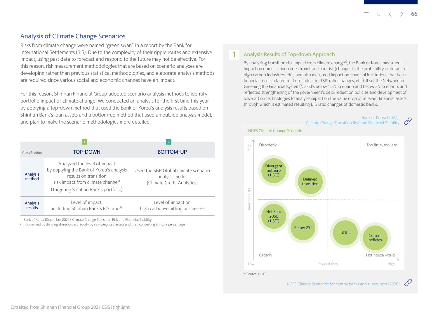### <span id="page-11-0"></span>Analysis of Climate Change Scenarios

Risks from climate change were named "green swan" in a report by the Bank for International Settlements (BIS). Due to the complexity of their ripple routes and extensive impact, using past data to forecast and respond to the future may not be effective. For this reason, risk measurement methodologies that are based on scenario analyses are developing rather than previous statistical methodologies, and elaborate analysis methods are required since various social and economic changes have an impact.

For this reason, Shinhan Financial Group adopted scenario analysis methods to identify portfolio impact of climate change. We conducted an analysis for the first time this year by applying a top-down method that used the Bank of Korea's analysis results based on Shinhan Bank's loan assets and a bottom-up method that used an outside analysis model, and plan to make the scenario methodologies more detailed.

|                            |                                                                                                                                                                                            | $\overline{2}$                                                                       |
|----------------------------|--------------------------------------------------------------------------------------------------------------------------------------------------------------------------------------------|--------------------------------------------------------------------------------------|
| Classification             | <b>TOP-DOWN</b>                                                                                                                                                                            | <b>BOTTOM-UP</b>                                                                     |
| <b>Analysis</b><br>method  | Analyzed the level of impact<br>by applying the Bank of Korea's analysis<br>results on transition<br>risk impact from climate change <sup>1)</sup><br>(Targeting Shinhan Bank's portfolio) | Used the S&P Global climate scenario<br>analysis model<br>(Climate Credit Analytics) |
| <b>Analysis</b><br>results | Level of impact,<br>including Shinhan Bank's BIS ratio <sup>2)</sup>                                                                                                                       | Level of impact on<br>high carbon-emitting businesses                                |

<sup>1)</sup> Bank of Korea (December 2021), Climate Change Transition Risk and Financial Stability

2) It is derived by dividing shareholders' equity by risk-weighted assets and then converting it into a percentage

#### 1 Analysis Results of Top-down Approach

NGFS Climate Change Scenario

By analyzing transition risk impact from climate change<sup>1)</sup>, the Bank of Korea measured impact on domestic industries from transition risk (changes in the probability of default of high carbon industries, etc.) and also measured impact on financial institutions that have financial assets related to these industries (BIS ratio changes, etc.). It set the Network for Greening the Financial System(NGFS)'s below 1.5℃ scenario and below 2℃ scenario, and reflected strengthening of the government's GHG reduction policies and development of low-carbon technologies to analyze impact on the value drop of relevant financial assets through which it estimated resulting BIS ratio changes of domestic banks.





Ô, [NGFS Climate Scenarios for central banks and supervisors \(2020\)](https://www.ngfs.net/sites/default/files/medias/documents/820184_ngfs_scenarios_final_version_v6.pdf)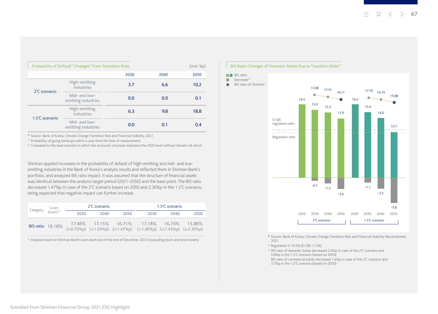| Probability of Default <sup>1)</sup> Changes <sup>2)</sup> from Transition Risks |                                       |      | (Unit: %p) |      |
|----------------------------------------------------------------------------------|---------------------------------------|------|------------|------|
|                                                                                  |                                       | 2030 | 2040       | 2050 |
| 2°C scenario                                                                     | High-emitting<br>industries           | 3.7  | 6.6        | 10.2 |
|                                                                                  | Mid- and low-<br>emitting industries  | 0.0  | 0.0        | 0.1  |
| 1.5°C scenario                                                                   | High-emitting<br>industries           | 6.3  | 9.8        | 18.8 |
|                                                                                  | Mid-and $low-$<br>emitting industries | 0.0  | 0.1        | 0.4  |

\* Source: Bank of Korea, Climate Change Transition Risk and Financial Stability, 2021

 $1)$  Probability of going bankrupt within a year from the time of measurement

 $^{2)}$  Compared to the base scenario in which the economic structure maintains the 2020 level without climate risk shock

Shinhan applied increases in the probability of default of high-emitting and mid- and lowemitting industries in the Bank of Korea's analysis results and reflected them in Shinhan Bank's portfolio, and analyzed BIS ratio impact. It was assumed that the structure of financial assets was identical between the analysis target period (2021-2050) and the base point. The BIS ratio decreased 1.47%p in case of the 2℃ scenario based on 2050 and 2.30%p in the 1.5℃ scenario, being expected that negative impact can further increase.

| 2°C scenario<br>Category Loan<br>assets <sup>1)</sup> |      | 1.5°C scenario |      |                                                                                                                                                                                                                                    |      |      |
|-------------------------------------------------------|------|----------------|------|------------------------------------------------------------------------------------------------------------------------------------------------------------------------------------------------------------------------------------|------|------|
|                                                       | 2030 | 2040           | 2050 | 2030                                                                                                                                                                                                                               | 2040 | 2050 |
|                                                       |      |                |      | 17.48% 17.15% 16.71% 17.18% 16.74% 15.88%<br>BIS ratio 18.18% $\begin{bmatrix} 17.4676 & 17.1376 \\ (\Delta 0.70\%p) & (\Delta 1.03\%p) & (\Delta 1.47\%p) & (\Delta 1.00\%p) & (\Delta 1.43\%p) & (\Delta 2.30\%p) \end{bmatrix}$ |      |      |

<sup>1)</sup> Analysis based on Shinhan Bank's loan assets (as of the end of December 2021) (excluding stock and bond assets)

#### BIS Ratio Changes of Domestic Banks Due to Transition Risks<sup>1)</sup>

**BIS** ratio  $\blacksquare$  Decrease<sup>2)</sup>



\* Source: Bank of Korea, Climate Change Transition Risk and Financial Stability Reconstituted, 2021

1) Regulation is 10.5% (D-SIB 11.5%)

2) BIS ratio of domestic banks decreased 2.6%p in case of the 2℃ scenario and 5.8%p in the 1.5℃ scenario (based on 2050)

BIS ratio of commercial banks decreased 1.6%p in case of the 2℃ scenario and

3.7%p in the 1.5℃ scenario (based on 2050)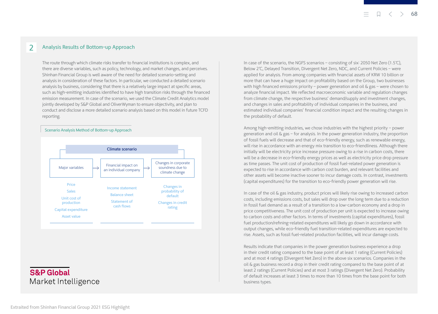#### 2 Analysis Results of Bottom-up Approach

The route through which climate risks transfer to financial institutions is complex, and there are diverse variables, such as policy, technology, and market changes, and perceives. Shinhan Financial Group is well aware of the need for detailed scenario-setting and analysis in consideration of these factors. In particular, we conducted a detailed scenario analysis by business, considering that there is a relatively large impact at specific areas, such as high-emitting industries identified to have high transition risks through the financed emission measurement. In case of the scenario, we used the Climate Credit Analytics model jointly developed by S&P Global and OliverWyman to ensure objectivity, and plan to conduct and disclose a more detailed scenario analysis based on this model in future TCFD reporting.

#### Scenario Analysis Method of Bottom-up Approach



## **S&P Global** Market Intelligence

In case of the scenario, the NGFS scenarios – consisting of six: 2050 Net Zero (1.5℃), Below 2℃, Delayed Transition, Divergent Net Zero, NDC, and Current Policies – were applied for analysis. From among companies with financial assets of KRW 10 billion or more that can have a huge impact on profitability based on the Group, two businesses with high financed emissions priority – power generation and oil  $\&$  gas – were chosen to analyze financial impact. We reflected macroeconomic variable and regulation changes from climate change, the respective business' demand/supply and investment changes, and changes in sales and profitability of individual companies in the business, and estimated individual companies' financial condition impact and the resulting changes in the probability of default.

Among high-emitting industries, we chose industries with the highest priority – power generation and oil  $\&$  gas – for analysis. In the power generation industry, the proportion of fossil fuels will decrease and that of eco-friendly energy, such as renewable energy, will rise in accordance with an energy mix transition to eco-friendliness. Although there initially will be electricity price increase pressure owing to a rise in carbon costs, there will be a decrease in eco-friendly energy prices as well as electricity price drop pressure as time passes. The unit cost of production of fossil fuel-related power generation is expected to rise in accordance with carbon cost burden, and relevant facilities and other assets will become inactive sooner to incur damage costs. In contrast, investments (capital expenditures) for the transition to eco-friendly power generation will rise.

In case of the oil  $\&$  gas industry, product prices will likely rise owing to increased carbon costs, including emissions costs, but sales will drop over the long term due to a reduction in fossil fuel demand as a result of a transition to a low-carbon economy and a drop in price competitiveness. The unit cost of production per unit is expected to increase owing to carbon costs and other factors. In terms of investments (capital expenditures), fossil fuel production/refining-related expenditures will likely go down in accordance with output changes, while eco-friendly fuel transition-related expenditures are expected to rise. Assets, such as fossil fuel-related production facilities, will incur damage costs.

Results indicate that companies in the power generation business experience a drop in their credit rating compared to the base point of at least 1 rating (Current Policies) and at most 4 ratings (Divergent Net Zero) in the above six scenarios. Companies in the oil  $\&$  gas business record a drop in their credit rating compared to the base point of at least 2 ratings (Current Policies) and at most 3 ratings (Divergent Net Zero). Probability of default increases at least 3 times to more than 10 times from the base point for both business types.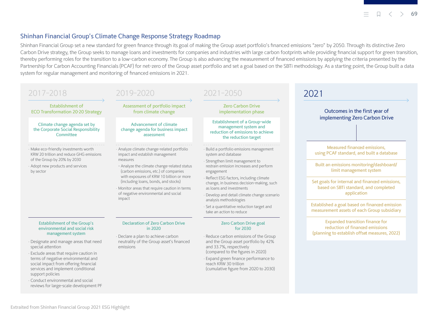#### **69**

#### <span id="page-14-0"></span>Shinhan Financial Group's Climate Change Response Strategy Roadmap

Shinhan Financial Group set a new standard for green finance through its goal of making the Group asset portfolio's financed emissions "zero" by 2050. Through its distinctive Zero Carbon Drive strategy, the Group seeks to manage loans and investments for companies and industries with large carbon footprints while providing financial support for green transition, thereby performing roles for the transition to a low-carbon economy. The Group is also advancing the measurement of financed emissions by applying the criteria presented by the Partnership for Carbon Accounting Financials (PCAF) for net-zero of the Group asset portfolio and set a goal based on the SBTi methodology. As a starting point, the Group built a data system for regular management and monitoring of financed emissions in 2021.

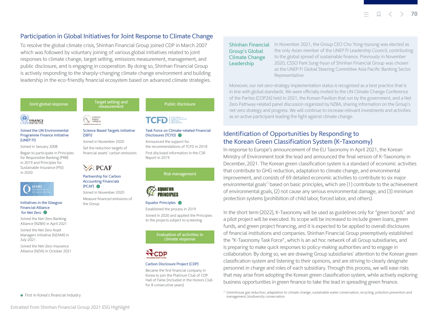## <span id="page-15-0"></span>Participation in Global Initiatives for Joint Response to Climate Change

To resolve the global climate crisis, Shinhan Financial Group joined CDP in March 2007 which was followed by voluntary joining of various global initiatives related to joint responses to climate change, target setting, emissions measurement, management, and public disclosure, and is engaging in cooperation. By doing so, Shinhan Financial Group is actively responding to the sharply-changing climate change environment and building leadership in the eco-friendly financial ecosystem based on advanced climate strategies.

#### Joint global response



#### Joined the UN Environmental Programme Finance Initiative (UNEP FI)

Joined in January 2008 Began to participate in Principles for Responsible Banking (PRB) in 2019 and Principles for Sustainable Insurance (PSI) in 2020



#### Initiatives in the Glasgow Financial Alliance for Net Zero

Joined the Net-Zero Banking Alliance (NZBA) in April 2021

Joined the Net Zero Asset Managers Initiative (NZAMI) in July 2021

Joined the Net-Zero Insurance Alliance (NZIA) in October 2021

#### ● First in Korea's financial industry

Target setting and riget setting and<br>
measurement<br>
measurement

## BASED<br>TARGETS

#### Science Based Targets initiative (SBTi)

Joined in November 2020 Set the reduction targets of financial assets' carbon emissions

## $\sqrt{\triangle}$  PCAF

#### Partnership for Carbon Accounting Financials (PCAF)

Joined in November 2020

Measure financed emissions of the Group

Task Force on Climate-related Financial

TCFD EIMATE-RELATED

#### Disclosures (TCFD) Announced the support for

the recommendations of TCFD in 2018 First disclosed information in the CSR Report in 2019

Risk management



#### Equator Principles

Established the process in 2019 Joined in 2020 and applied the Principles to the projects subject to screening

> Evaluation of activities in climate response



#### Carbon Disclosure Project (CDP)

Became the first financial company in Korea to join the Platinum Club of CDP Hall of Fame (Included in the Honors Club for 8 consecutive years)

Shinhan Financial Group's Global Climate Change Leadership

In November 2021, the Group CEO Cho Yong-byoung was elected as the only Asian member of the UNEP FI Leadership Council, contributing to the global spread of sustainable finance. Previously in November 2020, CSSO Park Sung-hyun of Shinhan Financial Group was chosen as the UNEP FI Global Steering Committee Asia Pacific Banking Sector Representative.

Moreover, our net zero-strategy implementation status is recognized as a best practice that is in line with global standards. We were officially invited to the UN Climate Change Conference of the Parties (COP26) held in 2021, the Korean Pavilion that run by the government, and a Net Zero Pathway-related panel discussion organized by NZBA, sharing information on the Group's net-zero strategy and progress. We will continue to increase relevant investments and activities as an active participant leading the fight against climate change.

## Identification of Opportunities by Responding to the Korean Green Classification System (K-Taxonomy)

In response to Europe's announcement of the EU Taxonomy in April 2021, the Korean Ministry of Environment took the lead and announced the final version of K-Taxonomy in December, 2021. The Korean green classification system is a standard of economic activities that contribute to GHG reduction, adaptation to climate change, and environmental improvement, and consists of 69 detailed economic activities to contribute to six major environmental goals<sup>1)</sup> based on basic principles, which are  $(1)$  contribute to the achievement of environmental goals, (2) not cause any serious environmental damage, and (3) minimum protection systems (prohibition of child labor, forced labor, and others).

In the short term (2022), K-Taxonomy will be used as guidelines only for "green bonds" and a pilot project will be executed. Its scope will be increased to include green loans, green funds, and green project financing, and it is expected to be applied to overall disclosures of financial institutions and companies. Shinhan Financial Group preemptively established the "K-Taxonomy Task Force", which is an ad hoc network of all Group subsidiaries, and is preparing to make quick responses to policy-making authorities and to engage in collaboration. By doing so, we are drawing Group subsidiaries' attention to the Korean green classification system and listening to their opinions, and are striving to clearly designate personnel in charge and roles of each subsidiary. Through this process, we will ease risks that may arise from adopting the Korean green classification system, while actively exploring business opportunities in green finance to take the lead in spreading green finance.

<sup>1)</sup> Greenhouse gas reduction, adaptation to climate change, sustainable water conservation, recycling, pollution prevention and management, biodiversity conservation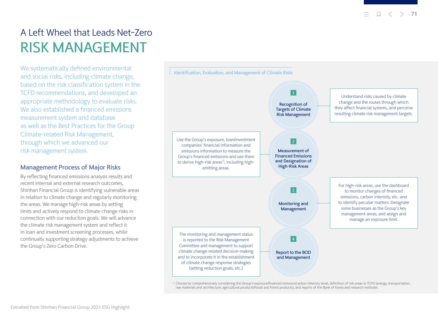## <span id="page-16-0"></span>A Left Wheel that Leads Net-Zero RISK MANAGEMENT

We systematically defined environmental and social risks, including climate change, based on the risk classification system in the TCFD recommendations, and developed an appropriate methodology to evaluate risks. We also established a financed emissions measurement system and database as well as the Best Practices for the Group Climate-related Risk Management, through which we advanced our risk management system.

### Management Process of Major Risks

By reflecting financed emissions analysis results and recent internal and external research outcomes, Shinhan Financial Group is identifying vulnerable areas in relation to climate change and regularly monitoring the areas. We manage high-risk areas by setting limits and actively respond to climate change risks in connection with our reduction goals. We will advance the climate risk management system and reflect it in loan and investment screening processes, while continually supporting strategy adjustments to achieve the Group's Zero Carbon Drive.



<sup>&</sup>lt;sup>1)</sup> Choose by comprehensively considering the Group's exposure/financed emission/carbon intensity level, definition of risk areas in TCFD (energy, transportation, raw materials and architecture, agricultural products/foods and forest products), and reports of the Bank of Korea and research institutes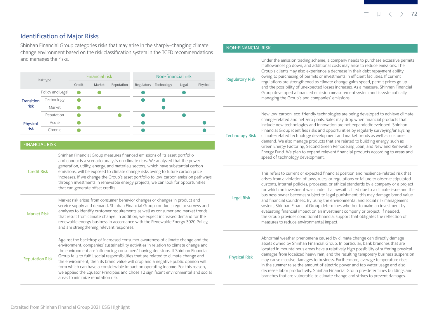### <span id="page-17-0"></span>Identification of Major Risks

Shinhan Financial Group categories risks that may arise in the sharply-changing climate change environment based on the risk classification system in the TCFD recommendations and manages the risks.



#### FINANCIAL RISK

Credit Risk

Shinhan Financial Group measures financed emissions of its asset portfolio and conducts a scenario analysis on climate risks. We analyzed that the power generation, utility, energy, and materials sectors, which have substantial carbon emissions, will be exposed to climate change risks owing to future carbon price increases. If we change the Group's asset portfolio to low-carbon emission pathways through investments in renewable energy projects, we can look for opportunities that can generate offset credits.

Market Risk

Reputation Risk

Market risk arises from consumer behavior changes or changes in product and service supply and demand. Shinhan Financial Group conducts regular surveys and analyses to identify customer requirements as well as consumer and market trends that result from climate change. In addition, we expect increased demand for the renewable energy business in accordance with the Renewable Energy 3020 Policy, and are strengthening relevant responses.

Against the backdrop of increased consumer awareness of climate change and the environment, companies' sustainability activities in relation to climate change and the environment are influencing consumers' buying decisions. If Shinhan Financial Group fails to fulfill social responsibilities that are related to climate change and the environment, then its brand value will drop and a negative public opinion will form which can have a considerable impact on operating income. For this reason, we applied the Equator Principles and chose 12 significant environmental and social areas to minimize reputation risk.

#### NON-FINANCIAL RISK

| <b>Regulatory Risk</b> | Under the emission trading scheme, a company needs to purchase excessive permits<br>if allowances go down, and additional costs may arise to reduce emissions. The<br>Group's clients may also experience a decrease in their debt repayment ability<br>owing to purchasing of permits or investments in efficient facilities. If current<br>regulations are strengthened as climate change gains speed, permit prices go up<br>and the possibility of unexpected losses increases. As a measure, Shinhan Financial<br>Group developed a financed emission measurement system and is systematically<br>managing the Group's and companies' emissions.                                                                                                                                                                   |
|------------------------|-------------------------------------------------------------------------------------------------------------------------------------------------------------------------------------------------------------------------------------------------------------------------------------------------------------------------------------------------------------------------------------------------------------------------------------------------------------------------------------------------------------------------------------------------------------------------------------------------------------------------------------------------------------------------------------------------------------------------------------------------------------------------------------------------------------------------|
| <b>Technology Risk</b> | New low-carbon, eco-friendly technologies are being developed to achieve climate<br>change-related and net zero goals. Sales may drop when financial products that<br>include new technologies and innovation are not expanded/developed. Shinhan<br>Financial Group identifies risks and opportunities by regularly surveying/analyzing<br>climate-related technology development and market trends as well as customer<br>demand. We also manage products that are related to building energy, such as<br>Green Energy Factoring, Second Green Remodeling Loan, and New and Renewable<br>Energy Fund. We plan to expand relevant financial products according to areas and<br>speed of technology development.                                                                                                        |
| <b>Legal Risk</b>      | This refers to current or expected financial position and resilience-related risk that<br>arises from a violation of laws, rules, or regulations or failure to observe stipulated<br>customs, internal policies, processes, or ethical standards by a company or a project<br>for which an investment was made. If a lawsuit is filed due to a climate issue and the<br>business owner becomes subject to legal punishment, this may damage brand value<br>and financial soundness. By using the environmental and social risk management<br>system, Shinhan Financial Group determines whether to make an investment by<br>evaluating financial impact on an investment company or project. If needed,<br>الألف مخالف والألوم والمالو ومقصدا والمرابطة فاسترعت والمتواطئ والمتحدث والمستحدث والمناسب والمستحرث والمالو |

ce-related risk that observe stipulated ompany or a project climate issue and the lamage brand value risk management n investment by ct. If needed, the Group provides conditional financial support that obligates the reflection of measures to reduce environmental impact.

Physical Risk

Abnormal weather phenomena caused by climate change can directly damage assets owned by Shinhan Financial Group. In particular, bank branches that are located in mountainous areas have a relatively high possibility of suffering physical damages from localized heavy rain, and the resulting temporary business suspension may cause massive damages to business. Furthermore, average temperature rises in the summer raise the amount of electric power and tap water usage and also decrease labor productivity. Shinhan Financial Group pre-determines buildings and branches that are vulnerable to climate change and strives to prevent damages.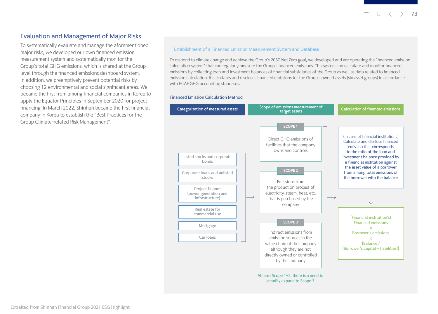### <span id="page-18-0"></span>Evaluation and Management of Major Risks

To systematically evaluate and manage the aforementioned major risks, we developed our own financed emission measurement system and systematically monitor the Group's total GHG emissions, which is shared at the Group level through the financed emissions dashboard system. In addition, we preemptively prevent potential risks by choosing 12 environmental and social significant areas. We became the first from among financial companies in Korea to apply the Equator Principles in September 2020 for project financing. In March 2022, Shinhan became the first financial company in Korea to establish the "Best Practices for the Group Climate-related Risk Management".

#### Establishment of a Financed Emission Measurement System and Database

To respond to climate change and achieve the Group's 2050 Net Zero goal, we developed and are operating the "financed emission calculation system" that can regularly measure the Group's financed emissions. This system can calculate and monitor financed emissions by collecting loan and investment balances of financial subsidiaries of the Group as well as data related to financed emission calculation. It calculates and discloses financed emissions for the Group's owned assets (six asset groups) in accordance with PCAF GHG accounting standards.

#### Financed Emission Calculation Method

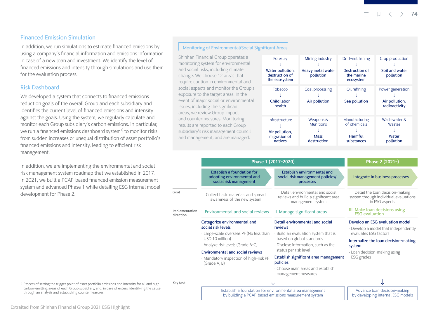#### Financed Emission Simulation

In addition, we run simulations to estimate financed emissions by using a company's financial information and emissions information in case of a new loan and investment. We identify the level of financed emissions and intensity through simulations and use them for the evaluation process.

#### Risk Dashboard

We developed a system that connects to financed emissions reduction goals of the overall Group and each subsidiary and identifies the current level of financed emissions and intensity against the goals. Using the system, we regularly calculate and monitor each Group subsidiary's carbon emissions. In particular, we run a financed emissions dashboard system<sup>1)</sup> to monitor risks from sudden increases or unequal distribution of asset portfolio's financed emissions and intensity, leading to efficient risk management.

In addition, we are implementing the environmental and social risk management system roadmap that we established in 2017. In 2021, we built a PCAF-based financed emission measurement system and advanced Phase 1 while detailing ESG internal model development for Phase 2.

#### Monitoring of Environmental/Social Significant Areas

Shinhan Financial Group operates a monitoring system for environmental and social risks, including climate change. We choose 12 areas that require caution in environmental and social aspects and monitor the Group's exposure to the target areas. In the event of major social or environmental issues, including the significant areas, we review Group impact and countermeasures. Monitoring results are reported to each Group subsidiary's risk management council and management, and are managed.

| Forestry<br>Water pollution,<br>destruction of<br>the ecosystem | Mining industry<br>Heavy metal water<br>pollution           | Drift-net fishing<br>Destruction of<br>the marine<br>ecosystem | Crop production<br>Soil and water<br>pollution      |
|-----------------------------------------------------------------|-------------------------------------------------------------|----------------------------------------------------------------|-----------------------------------------------------|
| <b>Tobacco</b><br>Child labor,<br>health                        | Coal processing<br>Air pollution                            | Oil refining<br>Sea pollution                                  | Power generation<br>Air pollution,<br>radioactivity |
| Infrastructure<br>Air pollution,<br>migration of<br>natives     | Weapons &<br><b>Munitions</b><br><b>Mass</b><br>destruction | Manufacturing<br>of chemicals<br>Harmful<br>substances         | Wastewater &<br><b>Wastes</b><br>Water<br>pollution |

|                             | Phase 1 (2017-2020)                                                                                                                                                                              | Phase 2 (2021-)                                                                                                                                                                 |                                                                                                                                                                                    |
|-----------------------------|--------------------------------------------------------------------------------------------------------------------------------------------------------------------------------------------------|---------------------------------------------------------------------------------------------------------------------------------------------------------------------------------|------------------------------------------------------------------------------------------------------------------------------------------------------------------------------------|
|                             | <b>Establish a foundation for</b><br>adopting environmental and<br>social risk management                                                                                                        | Establish environmental and<br>social risk management policies/<br>processes                                                                                                    | Integrate in business processes                                                                                                                                                    |
| Goal                        | Collect basic materials and spread<br>awareness of the new system                                                                                                                                | Detail environmental and social<br>reviews and build a significant area<br>management system                                                                                    | Detail the loan decision-making<br>system through individual evaluations<br>in ESG aspects                                                                                         |
| Implementation<br>direction | I. Environmental and social reviews                                                                                                                                                              | II. Manage significant areas                                                                                                                                                    | III. Make loan decisions using<br><b>ESG</b> evaluation                                                                                                                            |
|                             | Categorize environmental and<br>social risk levels<br>· Large-scale overseas PF (No less than<br>USD 10 million)<br>· Analyze risk levels (Grade A-C)<br><b>Environmental and social reviews</b> | Detail environmental and social<br>reviews<br>· Build an evaluation system that is<br>based on global standards<br>· Disclose information, such as the<br>status per risk level | Develop an ESG evaluation model<br>. Develop a model that independently<br>evaluates ESG factors<br>Internalize the loan decision-making<br>system<br>· Loan decision-making using |
|                             | · Mandatory inspection of high-risk PF<br>(Grade A, B)                                                                                                                                           | Establish significant area management<br>policies<br>. Choose main areas and establish<br>management measures                                                                   | ESG grades                                                                                                                                                                         |
| Key task                    |                                                                                                                                                                                                  |                                                                                                                                                                                 |                                                                                                                                                                                    |
|                             |                                                                                                                                                                                                  | Establish a foundation for environmental area management<br>by building a PCAF-based emissions measurement system                                                               | Advance loan decision-making<br>by developing internal ESG models                                                                                                                  |

1) Process of setting the trigger point of asset portfolio emissions and intensity for all and high carbon-emitting areas of each Group subsidiary, and, in case of excess, identifying the cause through an analysis and establishing countermeasures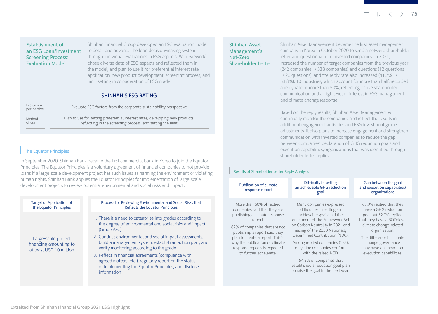Establishment of an ESG Loan/Investment Screening Process: Evaluation Model

Shinhan Financial Group developed an ESG evaluation model to detail and advance the loan decision-making system through individual evaluations in ESG aspects. We reviewed/ chose diverse data of ESG aspects and reflected them in the model, and plan to use it for preferential interest rate application, new product development, screening process, and limit-setting in consideration of ESG grade.

#### SHINHAN'S ESG RATING

| Evaluation<br>perspective | Evaluate ESG factors from the corporate sustainability perspective            |  |  |  |
|---------------------------|-------------------------------------------------------------------------------|--|--|--|
| Method                    | Plan to use for setting preferential interest rates, developing new products, |  |  |  |
| of use                    | reflecting in the screening process, and setting the limit                    |  |  |  |

#### The Equator Principles

In September 2020, Shinhan Bank became the first commercial bank in Korea to join the Equator Principles. The Equator Principles is a voluntary agreement of financial companies to not provide loans if a large-scale development project has such issues as harming the environment or violating human rights. Shinhan Bank applies the Equator Principles for implementation of large-scale development projects to review potential environmental and social risks and impact.

| <b>Target of Application of</b><br>the Equator Principles                | Process for Reviewing Environmental and Social Risks that<br><b>Reflects the Equator Principles</b>                                                                                 |
|--------------------------------------------------------------------------|-------------------------------------------------------------------------------------------------------------------------------------------------------------------------------------|
| Large-scale project<br>financing amounting to<br>at least USD 10 million | 1. There is a need to categorize into grades according to<br>the degree of environmental and social risks and impact<br>(Grade A-C)                                                 |
|                                                                          | 2. Conduct environmental and social impact assessments,<br>build a management system, establish an action plan, and<br>verify monitoring according to the grade                     |
|                                                                          | 3. Reflect in financial agreements (compliance with<br>agreed matters, etc.), regularly report on the status<br>of implementing the Equator Principles, and disclose<br>information |
|                                                                          |                                                                                                                                                                                     |

#### Shinhan Asset Management's Net-Zero Shareholder Letter

Shinhan Asset Management became the first asset management company in Korea in October 2020 to send a net-zero shareholder letter and questionnaire to invested companies. In 2021, it increased the number of target companies from the previous year  $(242 \text{ companies} \rightarrow 338 \text{ companies})$  and questions  $(12 \text{ questions} \cdot$  $\rightarrow$  20 questions), and the reply rate also increased (41.7%  $\rightarrow$ 53.8%). 10 industries, which account for more than half, recorded a reply rate of more than 50%, reflecting active shareholder communication and a high level of interest in ESG management and climate change response.

Based on the reply results, Shinhan Asset Management will continually monitor the companies and reflect the results in additional engagement activities and ESG investment grade adjustments. It also plans to increase engagement and strengthen communication with invested companies to reduce the gap between companies' declaration of GHG reduction goals and execution capabilities/organizations that was identified through shareholder letter replies.

#### Results of Shareholder Letter Reply Analysis

#### Publication of climate response report

More than 60% of replied companies said that they are publishing a climate response report. 82% of companies that are not publishing a report said they plan to create a report. This is why the publication of climate response reports is expected to further accelerate.

#### Difficulty in setting an achievable GHG reduction goal

#### Gap between the goal and execution capabilities/ organizations

Many companies expressed difficulties in setting an achievable goal amid the enactment of the Framework Act on Carbon Neutrality in 2021 and raising of the 2030 Nationally

Among replied companies (182), only nine companies conform with the raised NCD.

Determined Contribution (NDC).

54.2% of companies that established a reduction goal plan to raise the goal in the next year.

65.9% replied that they have a GHG reduction goal but 52.7% replied that they have a BOD-level climate change-related organization.

The difference in climate change governance may have an impact on execution capabilities.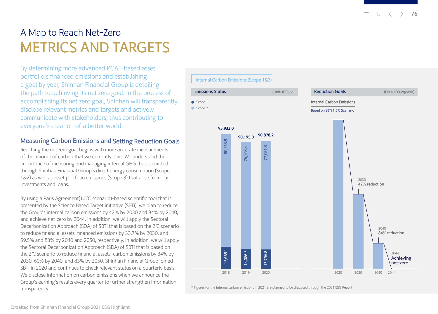## <span id="page-21-0"></span>A Map to Reach Net-Zero METRICS AND TARGETS

By determining more advanced PCAF-based asset portfolio's financed emissions and establishing a goal by year, Shinhan Financial Group is detailing the path to achieving its net zero goal. In the process of accomplishing its net zero goal, Shinhan will transparently disclose relevant metrics and targets and actively communicate with stakeholders, thus contributing to everyone's creation of a better world.

## Measuring Carbon Emissions and Setting Reduction Goals

Reaching the net zero goal begins with more accurate measurements of the amount of carbon that we currently emit. We understand the importance of measuring and managing internal GHG that is emitted through Shinhan Financial Group's direct energy consumption (Scope 1&2) as well as asset portfolio emissions (Scope 3) that arise from our investments and loans.

By using a Paris Agreement(1.5℃ scenario)-based scientific tool that is presented by the Science Based Target initiative (SBTi), we plan to reduce the Group's internal carbon emissions by 42% by 2030 and 84% by 2040, and achieve net-zero by 2044. In addition, we will apply the Sectoral Decarbonization Approach (SDA) of SBTi that is based on the 2℃ scenario to reduce financial assets' financed emissions by 33.7% by 2030, and 59.5% and 83% by 2040 and 2050, respectively. In addition, we will apply the Sectoral Decarbonization Approach (SDA) of SBTi that is based on the 2℃ scenario to reduce financial assets' carbon emissions by 34% by 2030, 60% by 2040, and 83% by 2050. Shinhan Financial Group joined SBTi in 2020 and continues to check relevant status on a quarterly basis. We disclose information on carbon emissions when we announce the Group's earning's results every quarter to further strengthen information transparency.



\* Figures for the internal carbon emissions in 2021 are planned to be disclosed through the 2021 ESG Report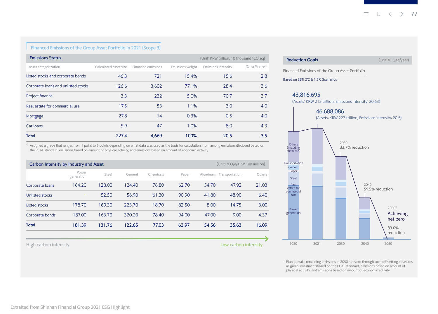#### Financed Emissions of the Group Asset Portfolio in 2021 (Scope 3)

| <b>Emissions Status</b><br>(Unit: KRW trillion, 10 thousand tCO <sub>2</sub> eg) |                       |                    |                  |                            |                          |
|----------------------------------------------------------------------------------|-----------------------|--------------------|------------------|----------------------------|--------------------------|
| Asset categorization                                                             | Calculated asset size | Financed emissions | Emissions weight | <b>Emissions intensity</b> | Data Score <sup>1)</sup> |
| Listed stocks and corporate bonds                                                | 46.3                  | 721                | 15.4%            | 15.6                       | 2.8                      |
| Corporate loans and unlisted stocks                                              | 126.6                 | 3,602              | 77.1%            | 28.4                       | 3.6                      |
| Project finance                                                                  | 3.3                   | 232                | 5.0%             | 70.7                       | 3.7                      |
| Real estate for commercial use                                                   | 17.5                  | 53                 | 1.1%             | 3.0                        | 4.0                      |
| Mortgage                                                                         | 27.8                  | 14                 | 0.3%             | 0.5                        | 4.0                      |
| Car loans                                                                        | 5.9                   | 47                 | 1.0%             | 8.0                        | 4.3                      |
| <b>Total</b>                                                                     | 227.4                 | 4,669              | 100%             | 20.5                       | 3.5                      |

<sup>1)</sup> Assigned a grade that ranges from 1 point to 5 points depending on what data was used as the basis for calculation, from among emissions disclosed based on the PCAF standard, emissions based on amount of physical activity, and emissions based on amount of economic activity

| (Unit: tCO <sub>2</sub> e/KRW 100 million)<br>Carbon Intensity by Industry and Asset |                     |        |        |           |       |          |                |        |
|--------------------------------------------------------------------------------------|---------------------|--------|--------|-----------|-------|----------|----------------|--------|
|                                                                                      | Power<br>generation | Steel  | Cement | Chemicals | Paper | Aluminum | Transportation | Others |
| Corporate loans                                                                      | 164.20              | 128.00 | 124.40 | 76.80     | 62.70 | 54.70    | 47.92          | 21.03  |
| Unlisted stocks                                                                      | -                   | 52.50  | 56.90  | 61.30     | 90.90 | 41.80    | 48.90          | 6.40   |
| Listed stocks                                                                        | 178.70              | 169.30 | 223.70 | 18.70     | 82.50 | 8.00     | 14.75          | 3.00   |
| Corporate bonds                                                                      | 187.00              | 163.70 | 320.20 | 78.40     | 94.00 | 47.00    | 9.00           | 4.37   |
| <b>Total</b>                                                                         | 181.39              | 131.76 | 122.65 | 77.03     | 63.97 | 54.56    | 35.63          | 16.09  |

High carbon intensity Low carbon intensity



<sup>1)</sup> Plan to make remaining emissions in 2050 net-zero through such off-setting measures as green investmentsbased on the PCAF standard, emissions based on amount of physical activity, and emissions based on amount of economic activity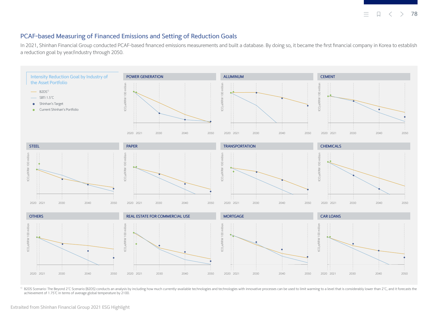**78** Ξ.

#### <span id="page-23-0"></span>PCAF-based Measuring of Financed Emissions and Setting of Reduction Goals

In 2021, Shinhan Financial Group conducted PCAF-based financed emissions measurements and built a database. By doing so, it became the first financial company in Korea to establish a reduction goal by year/industry through 2050.



<sup>1)</sup> B2DS Scenario: The Beyond 2°C Scenario (B2DS) conducts an analysis by including how much currently-available technologies and technologies with innovative processes can be used to limit warming to a level that is cons achievement of 1.75℃ in terms of average global temperature by 2100.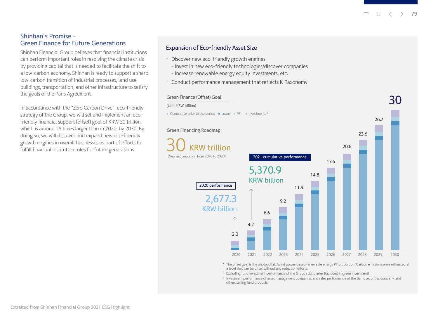30

#### <span id="page-24-0"></span>Shinhan's Promise – Green Finance for Future Generations

Shinhan Financial Group believes that financial institutions can perform important roles in resolving the climate crisis by providing capital that is needed to facilitate the shift to a low-carbon economy. Shinhan is ready to support a sharp low-carbon transition of industrial processes, land use, buildings, transportation, and other infrastructure to satisfy the goals of the Paris Agreement.

In accordance with the "Zero Carbon Drive", eco-friendly strategy of the Group, we will set and implement an ecofriendly financial support (offset) goal of KRW 30 trillion, which is around 15 times larger than in 2020, by 2030. By doing so, we will discover and expand new eco-friendly growth engines in overall businesses as part of efforts to fulfill financial institution roles for future generations.

#### Expansion of Eco-friendly Asset Size

- Discover new eco-friendly growth engines
- Invest in new eco-friendly technologies/discover companies
- Increase renewable energy equity investments, etc.
- Conduct performance management that reflects K-Taxonomy

#### Green Finance (Offset) Goal

(Unit: KRW trillion)

■ Cumulative prior to the period ■ Loans ■  $PF^{1}$  ■ Investments<sup>2)</sup>



\* The offset goal is the photovoltaic/wind power-based renewable energy PF proportion. Carbon emissions were estimated at a level that can be offset without any reduction efforts.

1) Excluding fund investment performance of the Group subsidiaries (included in green investment)

2) Investment performance of asset management companies and sales performance of the Bank, securities company, and others selling fund products